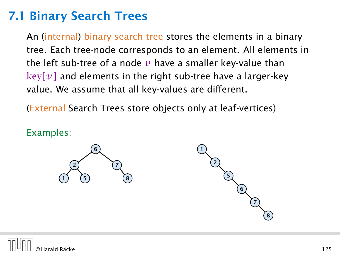## 7.1 Binary Search Trees

An (internal) binary search tree stores the elements in a binary tree. Each tree-node corresponds to an element. All elements in the left sub-tree of a node  $v$  have a smaller key-value than  $key[v]$  and elements in the right sub-tree have a larger-key value. We assume that all key-values are different.

(External Search Trees store objects only at leaf-vertices)

Examples:



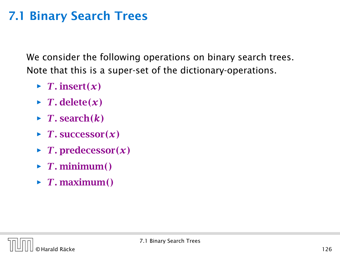## 7.1 Binary Search Trees

We consider the following operations on binary search trees. Note that this is a super-set of the dictionary-operations.

- $\blacktriangleright$  *T*. insert $(x)$
- $\blacktriangleright$  *T*. delete $(x)$
- $\blacktriangleright$  *T*. search $(k)$
- $\blacktriangleright$  *T*. successor $(x)$
- $\blacktriangleright$  *T*. predecessor $(x)$
- $\blacktriangleright$  *T*. minimum()
- $\blacktriangleright$  *T*. maximum()

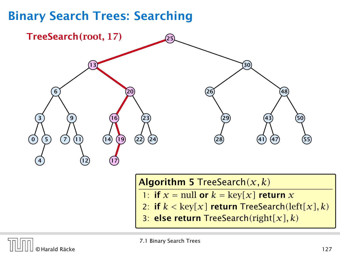

### Algorithm 5 TreeSearch*(x, k)*

- 1: if  $x = \text{null}$  or  $k = \text{key}[x]$  return  $x$
- 2: if  $k < \text{key}[x]$  return TreeSearch(left[x], k)
- 3: else return TreeSearch*(*right*[x], k)*

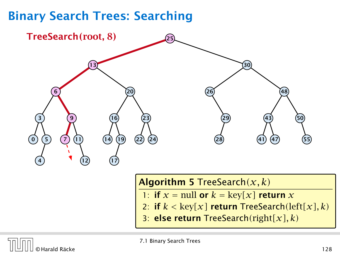

### Algorithm 5 TreeSearch*(x, k)*

- 1: if  $x = \text{null}$  or  $k = \text{key}[x]$  return  $x$
- 2: if  $k < \text{key}[x]$  return TreeSearch(left[x], k)
- 3: else return TreeSearch*(*right*[x], k)*

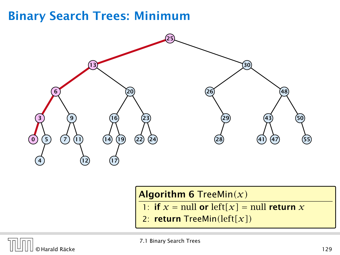# Binary Search Trees: Minimum



## Algorithm 6 TreeMin*(x)*

- 1: if  $x = \text{null}$  or  $\text{left}[x] = \text{null}$  return  $x$
- 2: return TreeMin*(*left*[x])*

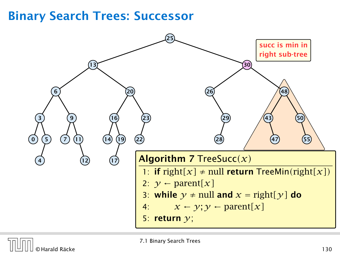## Binary Search Trees: Successor



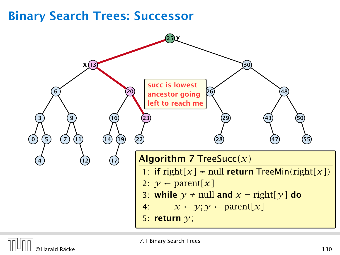# Binary Search Trees: Successor



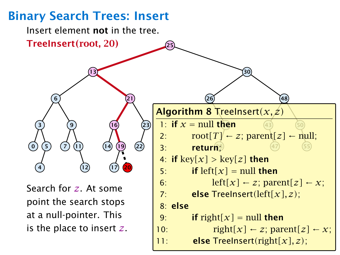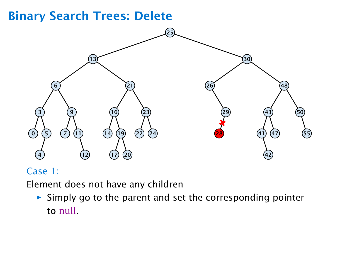## Binary Search Trees: Delete



## Case 1:

Element does not have any children

**Follow** Simply go to the parent and set the corresponding pointer to null.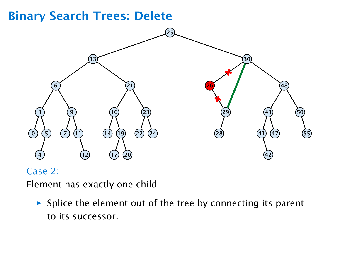#### Binary Search Trees: Delete 30  $\odot$  5  $\left( 7\right)$   $(14)$   $(19)$ 17) (20  $(22)$   $(24)$

### Case 2:

Element has exactly one child

 $\triangleright$  Splice the element out of the tree by connecting its parent to its successor.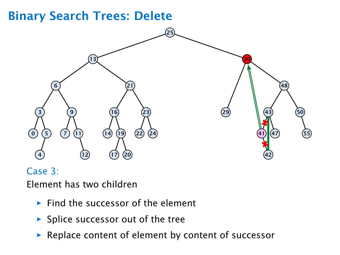#### Binary Search Trees: Delete 30  $\odot$  5  $\left( 7\right)$   $(14)$   $(19)$ 17) (20  $(22)$   $(24)$

## Case 3:

Element has two children

- **Find the successor of the element**
- ▶ Splice successor out of the tree
- **For Replace content of element by content of successor**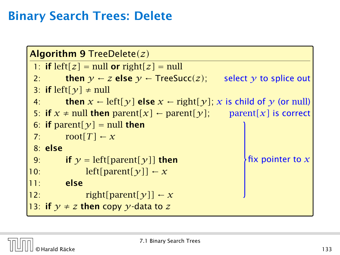# Binary Search Trees: Delete

```
Algorithm 9 TreeDelete(z)
 1: if left[z] = null or right[z] = null<br>2: then v \leftarrow z else v \leftarrow TreeSu2: then y \leftarrow z else y \leftarrow TreeSucc(z); select y to splice out
 3: if left[\gamma] \neq \text{null}4: then x ← left[y] else x ← right[y];
x is child of y (or null)
 5: if x \neq \text{null} then \text{parent}[x] \leftarrow \text{parent}[y]; \qquad \text{parent}[x] is correct
 6: if parent[\gamma] = null then
 7: \text{root}[T] \leftarrow x8: else
9: if y = left[parent[y]] then<br>10: be left [parent [y]] \leftarrow xleft[ parent[\gamma]\right] ← x
11: else
12: right[parent[\gamma]] \leftarrow x13: if y \neq z then copy y-data to z\epsilon fix pointer to x
```
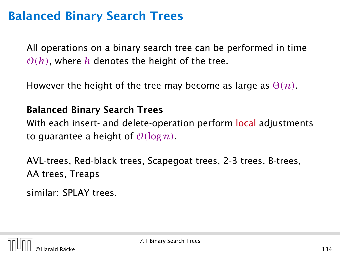# Balanced Binary Search Trees

All operations on a binary search tree can be performed in time  $O(h)$ , where h denotes the height of the tree.

However the height of the tree may become as large as Θ*(n)*.

## Balanced Binary Search Trees

With each insert- and delete-operation perform local adjustments to guarantee a height of  $O(\log n)$ .

AVL-trees, Red-black trees, Scapegoat trees, 2-3 trees, B-trees, AA trees, Treaps

similar: SPLAY trees.